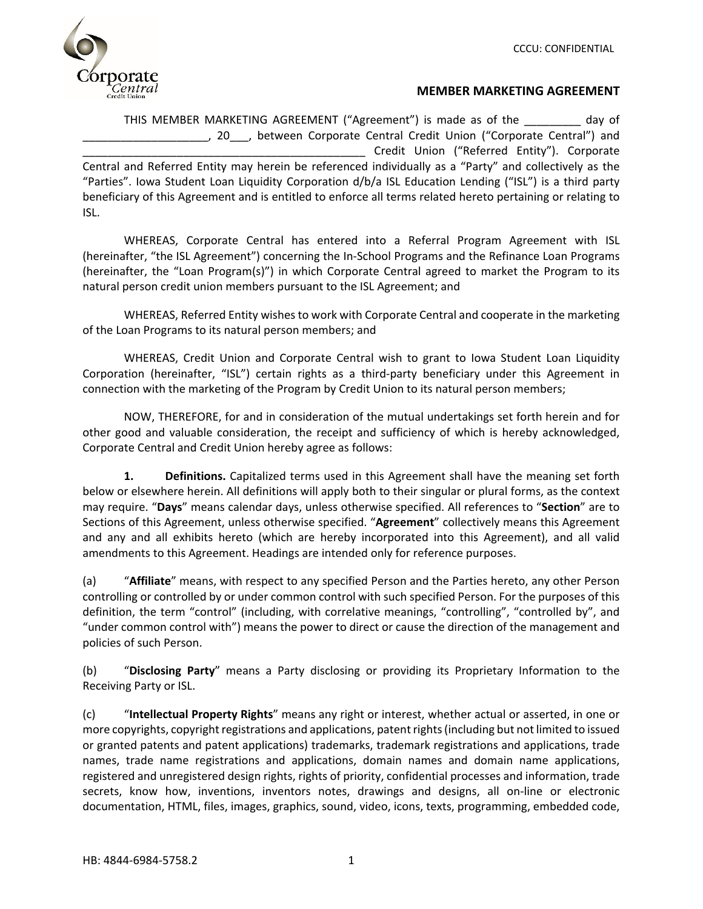

## **MEMBER MARKETING AGREEMENT**

THIS MEMBER MARKETING AGREEMENT ("Agreement") is made as of the \_\_\_\_\_\_\_\_\_ day of \_\_\_\_\_\_\_\_\_\_\_\_\_\_\_\_\_\_\_\_, 20\_\_\_, between Corporate Central Credit Union ("Corporate Central") and Credit Union ("Referred Entity"). Corporate Central and Referred Entity may herein be referenced individually as a "Party" and collectively as the "Parties". Iowa Student Loan Liquidity Corporation d/b/a ISL Education Lending ("ISL") is a third party beneficiary of this Agreement and is entitled to enforce all terms related hereto pertaining or relating to ISL.

WHEREAS, Corporate Central has entered into a Referral Program Agreement with ISL (hereinafter, "the ISL Agreement") concerning the In‐School Programs and the Refinance Loan Programs (hereinafter, the "Loan Program(s)") in which Corporate Central agreed to market the Program to its natural person credit union members pursuant to the ISL Agreement; and

WHEREAS, Referred Entity wishes to work with Corporate Central and cooperate in the marketing of the Loan Programs to its natural person members; and

WHEREAS, Credit Union and Corporate Central wish to grant to Iowa Student Loan Liquidity Corporation (hereinafter, "ISL") certain rights as a third-party beneficiary under this Agreement in connection with the marketing of the Program by Credit Union to its natural person members;

NOW, THEREFORE, for and in consideration of the mutual undertakings set forth herein and for other good and valuable consideration, the receipt and sufficiency of which is hereby acknowledged, Corporate Central and Credit Union hereby agree as follows:

**1. Definitions.** Capitalized terms used in this Agreement shall have the meaning set forth below or elsewhere herein. All definitions will apply both to their singular or plural forms, as the context may require. "**Days**" means calendar days, unless otherwise specified. All references to "**Section**" are to Sections of this Agreement, unless otherwise specified. "**Agreement**" collectively means this Agreement and any and all exhibits hereto (which are hereby incorporated into this Agreement), and all valid amendments to this Agreement. Headings are intended only for reference purposes.

(a) "**Affiliate**" means, with respect to any specified Person and the Parties hereto, any other Person controlling or controlled by or under common control with such specified Person. For the purposes of this definition, the term "control" (including, with correlative meanings, "controlling", "controlled by", and "under common control with") means the power to direct or cause the direction of the management and policies of such Person.

(b) "**Disclosing Party**" means a Party disclosing or providing its Proprietary Information to the Receiving Party or ISL.

(c) "**Intellectual Property Rights**" means any right or interest, whether actual or asserted, in one or more copyrights, copyright registrations and applications, patent rights (including but not limited to issued or granted patents and patent applications) trademarks, trademark registrations and applications, trade names, trade name registrations and applications, domain names and domain name applications, registered and unregistered design rights, rights of priority, confidential processes and information, trade secrets, know how, inventions, inventors notes, drawings and designs, all on‐line or electronic documentation, HTML, files, images, graphics, sound, video, icons, texts, programming, embedded code,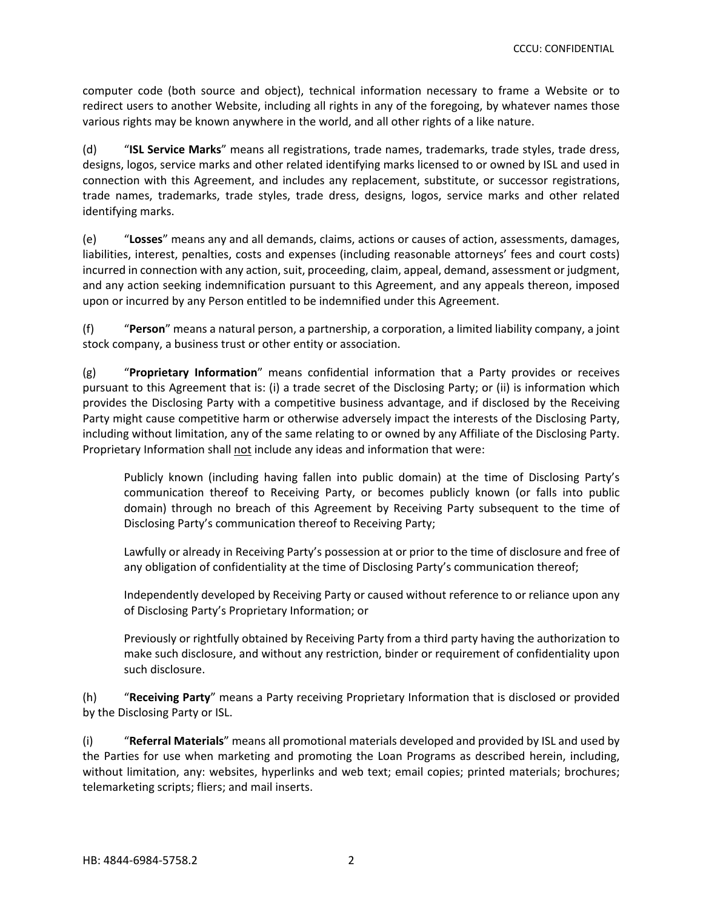computer code (both source and object), technical information necessary to frame a Website or to redirect users to another Website, including all rights in any of the foregoing, by whatever names those various rights may be known anywhere in the world, and all other rights of a like nature.

(d) "**ISL Service Marks**" means all registrations, trade names, trademarks, trade styles, trade dress, designs, logos, service marks and other related identifying marks licensed to or owned by ISL and used in connection with this Agreement, and includes any replacement, substitute, or successor registrations, trade names, trademarks, trade styles, trade dress, designs, logos, service marks and other related identifying marks.

(e) "**Losses**" means any and all demands, claims, actions or causes of action, assessments, damages, liabilities, interest, penalties, costs and expenses (including reasonable attorneys' fees and court costs) incurred in connection with any action, suit, proceeding, claim, appeal, demand, assessment or judgment, and any action seeking indemnification pursuant to this Agreement, and any appeals thereon, imposed upon or incurred by any Person entitled to be indemnified under this Agreement.

(f) "**Person**" means a natural person, a partnership, a corporation, a limited liability company, a joint stock company, a business trust or other entity or association.

(g) "**Proprietary Information**" means confidential information that a Party provides or receives pursuant to this Agreement that is: (i) a trade secret of the Disclosing Party; or (ii) is information which provides the Disclosing Party with a competitive business advantage, and if disclosed by the Receiving Party might cause competitive harm or otherwise adversely impact the interests of the Disclosing Party, including without limitation, any of the same relating to or owned by any Affiliate of the Disclosing Party. Proprietary Information shall not include any ideas and information that were:

Publicly known (including having fallen into public domain) at the time of Disclosing Party's communication thereof to Receiving Party, or becomes publicly known (or falls into public domain) through no breach of this Agreement by Receiving Party subsequent to the time of Disclosing Party's communication thereof to Receiving Party;

Lawfully or already in Receiving Party's possession at or prior to the time of disclosure and free of any obligation of confidentiality at the time of Disclosing Party's communication thereof;

Independently developed by Receiving Party or caused without reference to or reliance upon any of Disclosing Party's Proprietary Information; or

Previously or rightfully obtained by Receiving Party from a third party having the authorization to make such disclosure, and without any restriction, binder or requirement of confidentiality upon such disclosure.

(h) "**Receiving Party**" means a Party receiving Proprietary Information that is disclosed or provided by the Disclosing Party or ISL.

(i) "**Referral Materials**" means all promotional materials developed and provided by ISL and used by the Parties for use when marketing and promoting the Loan Programs as described herein, including, without limitation, any: websites, hyperlinks and web text; email copies; printed materials; brochures; telemarketing scripts; fliers; and mail inserts.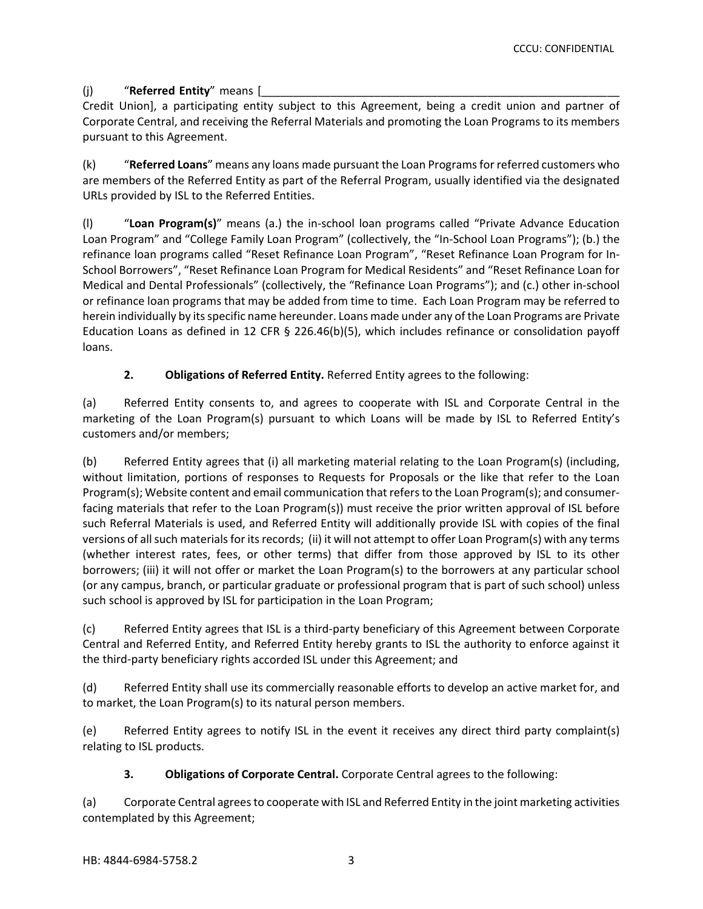## (i) **"Referred Entity"** means [

Credit Union], a participating entity subject to this Agreement, being a credit union and partner of Corporate Central, and receiving the Referral Materials and promoting the Loan Programs to its members pursuant to this Agreement.

(k) "**Referred Loans**" means any loans made pursuant the Loan Programsfor referred customers who are members of the Referred Entity as part of the Referral Program, usually identified via the designated URLs provided by ISL to the Referred Entities.

(l) "**Loan Program(s)**" means (a.) the in‐school loan programs called "Private Advance Education Loan Program" and "College Family Loan Program" (collectively, the "In‐School Loan Programs"); (b.) the refinance loan programs called "Reset Refinance Loan Program", "Reset Refinance Loan Program for In‐ School Borrowers", "Reset Refinance Loan Program for Medical Residents" and "Reset Refinance Loan for Medical and Dental Professionals" (collectively, the "Refinance Loan Programs"); and (c.) other in‐school or refinance loan programs that may be added from time to time. Each Loan Program may be referred to herein individually by itsspecific name hereunder. Loans made under any of the Loan Programs are Private Education Loans as defined in 12 CFR § 226.46(b)(5), which includes refinance or consolidation payoff loans.

# **2. Obligations of Referred Entity.** Referred Entity agrees to the following:

(a) Referred Entity consents to, and agrees to cooperate with ISL and Corporate Central in the marketing of the Loan Program(s) pursuant to which Loans will be made by ISL to Referred Entity's customers and/or members;

(b) Referred Entity agrees that (i) all marketing material relating to the Loan Program(s) (including, without limitation, portions of responses to Requests for Proposals or the like that refer to the Loan Program(s); Website content and email communication that refers to the Loan Program(s); and consumerfacing materials that refer to the Loan Program(s)) must receive the prior written approval of ISL before such Referral Materials is used, and Referred Entity will additionally provide ISL with copies of the final versions of all such materials for its records; (ii) it will not attempt to offer Loan Program(s) with any terms (whether interest rates, fees, or other terms) that differ from those approved by ISL to its other borrowers; (iii) it will not offer or market the Loan Program(s) to the borrowers at any particular school (or any campus, branch, or particular graduate or professional program that is part of such school) unless such school is approved by ISL for participation in the Loan Program;

(c) Referred Entity agrees that ISL is a third‐party beneficiary of this Agreement between Corporate Central and Referred Entity, and Referred Entity hereby grants to ISL the authority to enforce against it the third‐party beneficiary rights accorded ISL under this Agreement; and

(d) Referred Entity shall use its commercially reasonable efforts to develop an active market for, and to market, the Loan Program(s) to its natural person members.

(e) Referred Entity agrees to notify ISL in the event it receives any direct third party complaint(s) relating to ISL products.

## **3. Obligations of Corporate Central.** Corporate Central agrees to the following:

(a) Corporate Central agrees to cooperate with ISL and Referred Entity in the joint marketing activities contemplated by this Agreement;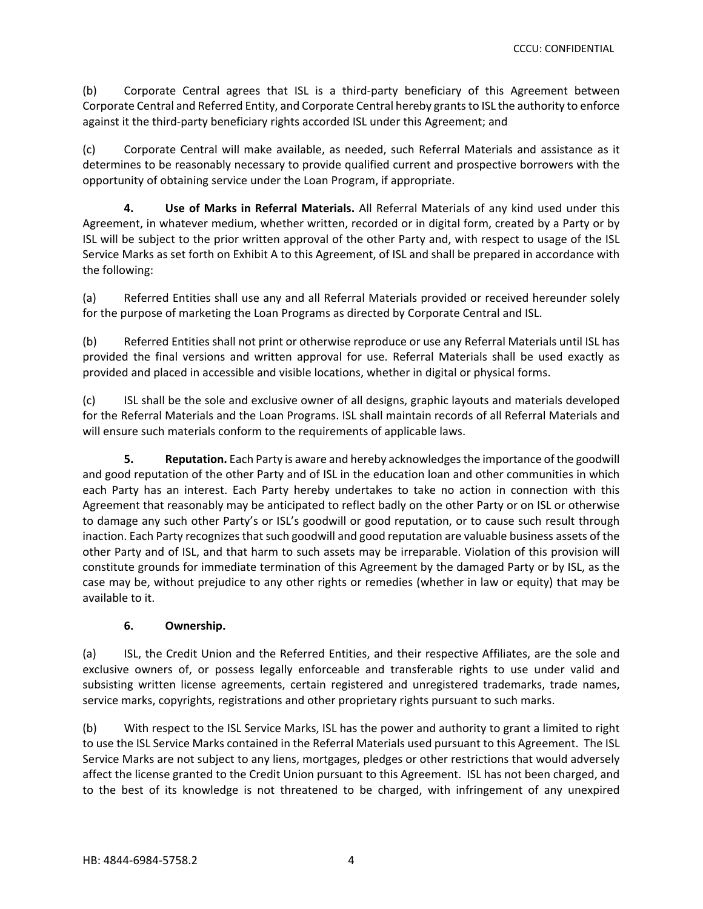(b) Corporate Central agrees that ISL is a third‐party beneficiary of this Agreement between Corporate Central and Referred Entity, and Corporate Central hereby grants to ISL the authority to enforce against it the third‐party beneficiary rights accorded ISL under this Agreement; and

(c) Corporate Central will make available, as needed, such Referral Materials and assistance as it determines to be reasonably necessary to provide qualified current and prospective borrowers with the opportunity of obtaining service under the Loan Program, if appropriate.

**4. Use of Marks in Referral Materials.** All Referral Materials of any kind used under this Agreement, in whatever medium, whether written, recorded or in digital form, created by a Party or by ISL will be subject to the prior written approval of the other Party and, with respect to usage of the ISL Service Marks as set forth on Exhibit A to this Agreement, of ISL and shall be prepared in accordance with the following:

(a) Referred Entities shall use any and all Referral Materials provided or received hereunder solely for the purpose of marketing the Loan Programs as directed by Corporate Central and ISL.

(b) Referred Entities shall not print or otherwise reproduce or use any Referral Materials until ISL has provided the final versions and written approval for use. Referral Materials shall be used exactly as provided and placed in accessible and visible locations, whether in digital or physical forms.

(c) ISL shall be the sole and exclusive owner of all designs, graphic layouts and materials developed for the Referral Materials and the Loan Programs. ISL shall maintain records of all Referral Materials and will ensure such materials conform to the requirements of applicable laws.

**5. Reputation.** Each Party is aware and hereby acknowledgesthe importance of the goodwill and good reputation of the other Party and of ISL in the education loan and other communities in which each Party has an interest. Each Party hereby undertakes to take no action in connection with this Agreement that reasonably may be anticipated to reflect badly on the other Party or on ISL or otherwise to damage any such other Party's or ISL's goodwill or good reputation, or to cause such result through inaction. Each Party recognizes that such goodwill and good reputation are valuable business assets of the other Party and of ISL, and that harm to such assets may be irreparable. Violation of this provision will constitute grounds for immediate termination of this Agreement by the damaged Party or by ISL, as the case may be, without prejudice to any other rights or remedies (whether in law or equity) that may be available to it.

## **6. Ownership.**

(a) ISL, the Credit Union and the Referred Entities, and their respective Affiliates, are the sole and exclusive owners of, or possess legally enforceable and transferable rights to use under valid and subsisting written license agreements, certain registered and unregistered trademarks, trade names, service marks, copyrights, registrations and other proprietary rights pursuant to such marks.

(b) With respect to the ISL Service Marks, ISL has the power and authority to grant a limited to right to use the ISL Service Marks contained in the Referral Materials used pursuant to this Agreement. The ISL Service Marks are not subject to any liens, mortgages, pledges or other restrictions that would adversely affect the license granted to the Credit Union pursuant to this Agreement. ISL has not been charged, and to the best of its knowledge is not threatened to be charged, with infringement of any unexpired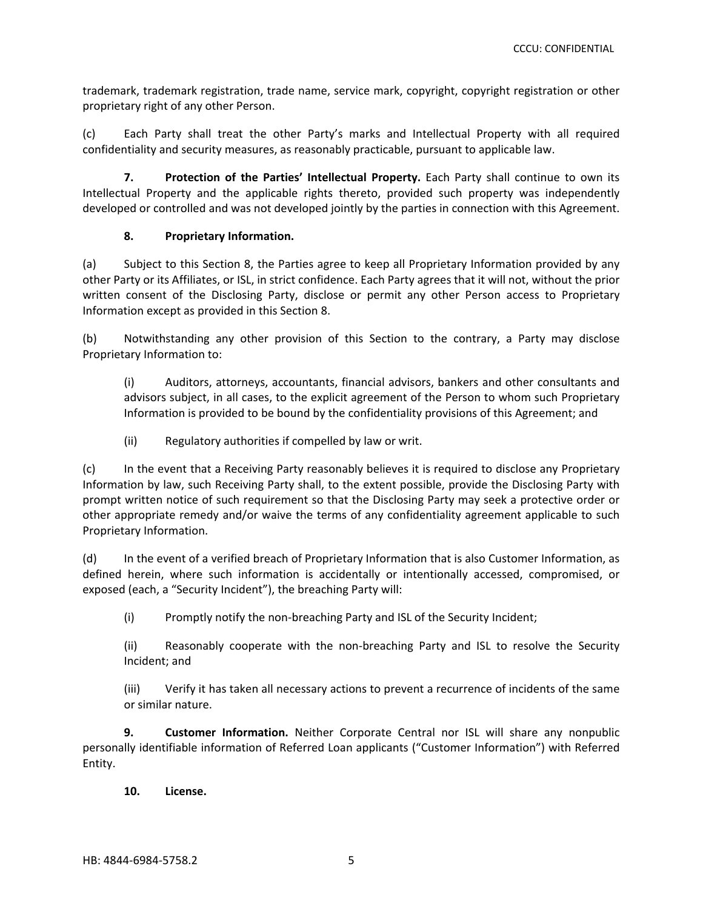trademark, trademark registration, trade name, service mark, copyright, copyright registration or other proprietary right of any other Person.

(c) Each Party shall treat the other Party's marks and Intellectual Property with all required confidentiality and security measures, as reasonably practicable, pursuant to applicable law.

**7. Protection of the Parties' Intellectual Property.** Each Party shall continue to own its Intellectual Property and the applicable rights thereto, provided such property was independently developed or controlled and was not developed jointly by the parties in connection with this Agreement.

#### **8. Proprietary Information.**

(a) Subject to this Section 8, the Parties agree to keep all Proprietary Information provided by any other Party or its Affiliates, or ISL, in strict confidence. Each Party agrees that it will not, without the prior written consent of the Disclosing Party, disclose or permit any other Person access to Proprietary Information except as provided in this Section 8.

(b) Notwithstanding any other provision of this Section to the contrary, a Party may disclose Proprietary Information to:

(i) Auditors, attorneys, accountants, financial advisors, bankers and other consultants and advisors subject, in all cases, to the explicit agreement of the Person to whom such Proprietary Information is provided to be bound by the confidentiality provisions of this Agreement; and

(ii) Regulatory authorities if compelled by law or writ.

(c) In the event that a Receiving Party reasonably believes it is required to disclose any Proprietary Information by law, such Receiving Party shall, to the extent possible, provide the Disclosing Party with prompt written notice of such requirement so that the Disclosing Party may seek a protective order or other appropriate remedy and/or waive the terms of any confidentiality agreement applicable to such Proprietary Information.

(d) In the event of a verified breach of Proprietary Information that is also Customer Information, as defined herein, where such information is accidentally or intentionally accessed, compromised, or exposed (each, a "Security Incident"), the breaching Party will:

(i) Promptly notify the non‐breaching Party and ISL of the Security Incident;

(ii) Reasonably cooperate with the non‐breaching Party and ISL to resolve the Security Incident; and

(iii) Verify it has taken all necessary actions to prevent a recurrence of incidents of the same or similar nature.

**9. Customer Information.** Neither Corporate Central nor ISL will share any nonpublic personally identifiable information of Referred Loan applicants ("Customer Information") with Referred Entity.

**10. License.**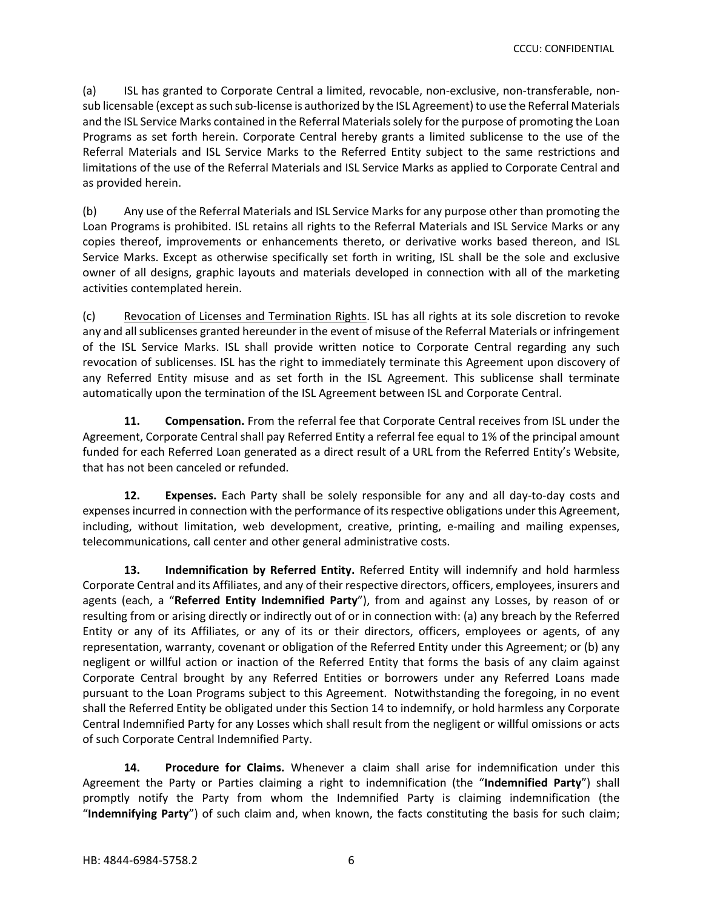(a) ISL has granted to Corporate Central a limited, revocable, non‐exclusive, non‐transferable, non‐ sub licensable (except as such sub-license is authorized by the ISL Agreement) to use the Referral Materials and the ISL Service Marks contained in the Referral Materials solely for the purpose of promoting the Loan Programs as set forth herein. Corporate Central hereby grants a limited sublicense to the use of the Referral Materials and ISL Service Marks to the Referred Entity subject to the same restrictions and limitations of the use of the Referral Materials and ISL Service Marks as applied to Corporate Central and as provided herein.

(b) Any use of the Referral Materials and ISL Service Marks for any purpose other than promoting the Loan Programs is prohibited. ISL retains all rights to the Referral Materials and ISL Service Marks or any copies thereof, improvements or enhancements thereto, or derivative works based thereon, and ISL Service Marks. Except as otherwise specifically set forth in writing, ISL shall be the sole and exclusive owner of all designs, graphic layouts and materials developed in connection with all of the marketing activities contemplated herein.

(c) Revocation of Licenses and Termination Rights. ISL has all rights at its sole discretion to revoke any and all sublicenses granted hereunder in the event of misuse of the Referral Materials or infringement of the ISL Service Marks. ISL shall provide written notice to Corporate Central regarding any such revocation of sublicenses. ISL has the right to immediately terminate this Agreement upon discovery of any Referred Entity misuse and as set forth in the ISL Agreement. This sublicense shall terminate automatically upon the termination of the ISL Agreement between ISL and Corporate Central.

**11. Compensation.** From the referral fee that Corporate Central receives from ISL under the Agreement, Corporate Central shall pay Referred Entity a referral fee equal to 1% of the principal amount funded for each Referred Loan generated as a direct result of a URL from the Referred Entity's Website, that has not been canceled or refunded.

**12. Expenses.** Each Party shall be solely responsible for any and all day‐to‐day costs and expensesincurred in connection with the performance of itsrespective obligations under this Agreement, including, without limitation, web development, creative, printing, e-mailing and mailing expenses, telecommunications, call center and other general administrative costs.

**13. Indemnification by Referred Entity.** Referred Entity will indemnify and hold harmless Corporate Central and its Affiliates, and any of their respective directors, officers, employees, insurers and agents (each, a "**Referred Entity Indemnified Party**"), from and against any Losses, by reason of or resulting from or arising directly or indirectly out of or in connection with: (a) any breach by the Referred Entity or any of its Affiliates, or any of its or their directors, officers, employees or agents, of any representation, warranty, covenant or obligation of the Referred Entity under this Agreement; or (b) any negligent or willful action or inaction of the Referred Entity that forms the basis of any claim against Corporate Central brought by any Referred Entities or borrowers under any Referred Loans made pursuant to the Loan Programs subject to this Agreement. Notwithstanding the foregoing, in no event shall the Referred Entity be obligated under this Section 14 to indemnify, or hold harmless any Corporate Central Indemnified Party for any Losses which shall result from the negligent or willful omissions or acts of such Corporate Central Indemnified Party.

**14. Procedure for Claims.** Whenever a claim shall arise for indemnification under this Agreement the Party or Parties claiming a right to indemnification (the "**Indemnified Party**") shall promptly notify the Party from whom the Indemnified Party is claiming indemnification (the "**Indemnifying Party**") of such claim and, when known, the facts constituting the basis for such claim;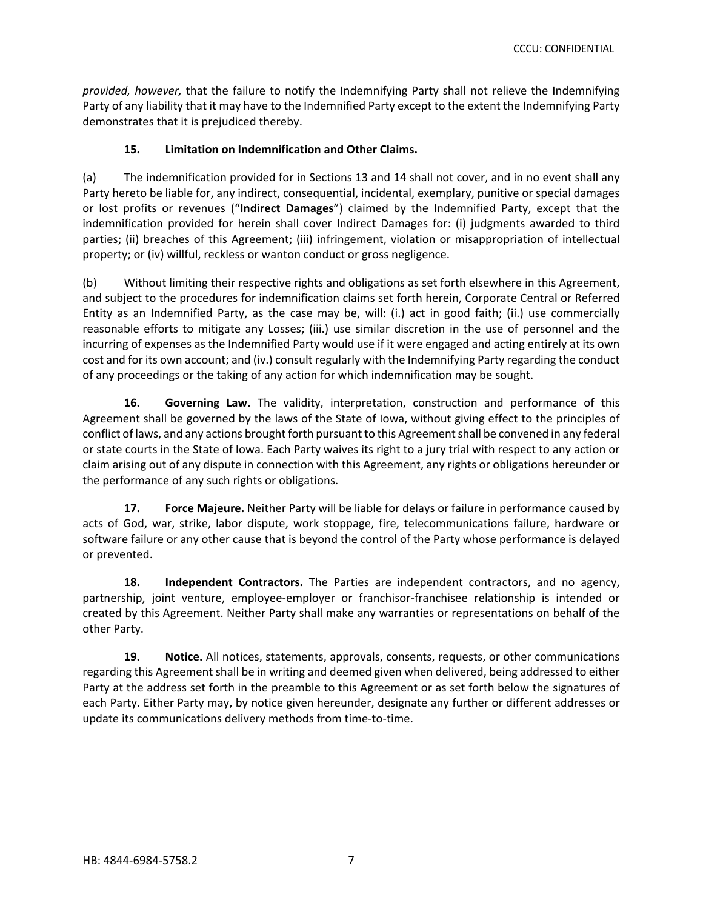*provided, however,* that the failure to notify the Indemnifying Party shall not relieve the Indemnifying Party of any liability that it may have to the Indemnified Party except to the extent the Indemnifying Party demonstrates that it is prejudiced thereby.

## **15. Limitation on Indemnification and Other Claims.**

(a) The indemnification provided for in Sections 13 and 14 shall not cover, and in no event shall any Party hereto be liable for, any indirect, consequential, incidental, exemplary, punitive or special damages or lost profits or revenues ("**Indirect Damages**") claimed by the Indemnified Party, except that the indemnification provided for herein shall cover Indirect Damages for: (i) judgments awarded to third parties; (ii) breaches of this Agreement; (iii) infringement, violation or misappropriation of intellectual property; or (iv) willful, reckless or wanton conduct or gross negligence.

(b) Without limiting their respective rights and obligations as set forth elsewhere in this Agreement, and subject to the procedures for indemnification claims set forth herein, Corporate Central or Referred Entity as an Indemnified Party, as the case may be, will: (i.) act in good faith; (ii.) use commercially reasonable efforts to mitigate any Losses; (iii.) use similar discretion in the use of personnel and the incurring of expenses as the Indemnified Party would use if it were engaged and acting entirely at its own cost and for its own account; and (iv.) consult regularly with the Indemnifying Party regarding the conduct of any proceedings or the taking of any action for which indemnification may be sought.

**16. Governing Law.** The validity, interpretation, construction and performance of this Agreement shall be governed by the laws of the State of Iowa, without giving effect to the principles of conflict of laws, and any actions brought forth pursuant to this Agreement shall be convened in any federal or state courts in the State of Iowa. Each Party waives its right to a jury trial with respect to any action or claim arising out of any dispute in connection with this Agreement, any rights or obligations hereunder or the performance of any such rights or obligations.

**17. Force Majeure.** Neither Party will be liable for delays or failure in performance caused by acts of God, war, strike, labor dispute, work stoppage, fire, telecommunications failure, hardware or software failure or any other cause that is beyond the control of the Party whose performance is delayed or prevented.

**18. Independent Contractors.** The Parties are independent contractors, and no agency, partnership, joint venture, employee‐employer or franchisor‐franchisee relationship is intended or created by this Agreement. Neither Party shall make any warranties or representations on behalf of the other Party.

**19. Notice.** All notices, statements, approvals, consents, requests, or other communications regarding this Agreement shall be in writing and deemed given when delivered, being addressed to either Party at the address set forth in the preamble to this Agreement or as set forth below the signatures of each Party. Either Party may, by notice given hereunder, designate any further or different addresses or update its communications delivery methods from time‐to‐time.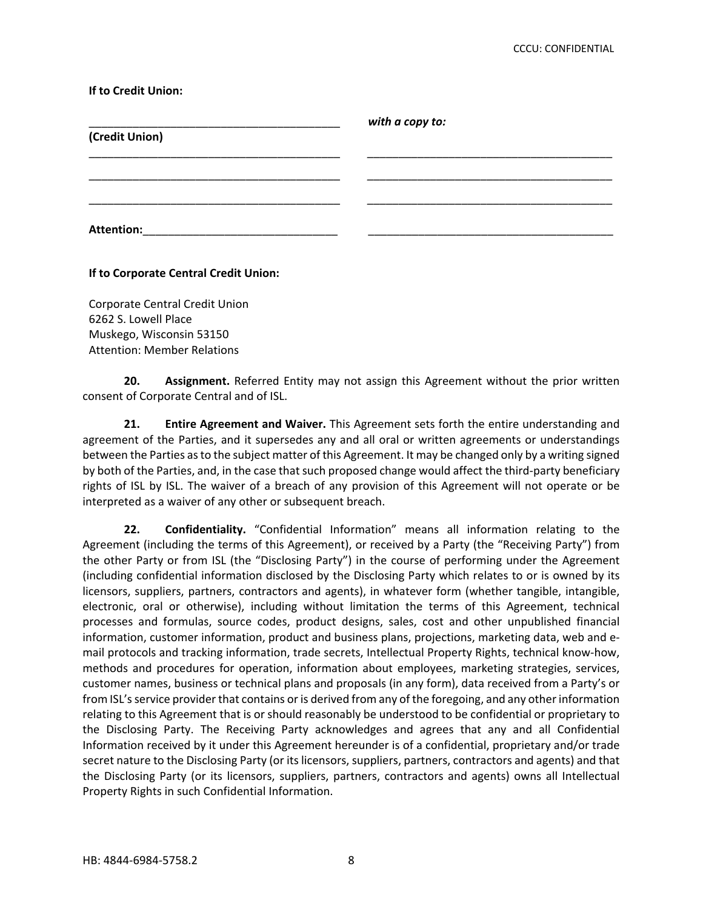#### **If to Credit Union:**

| (Credit Union)    | with a copy to: |  |
|-------------------|-----------------|--|
|                   |                 |  |
|                   |                 |  |
|                   |                 |  |
|                   |                 |  |
| <b>Attention:</b> |                 |  |

#### **If to Corporate Central Credit Union:**

Corporate Central Credit Union 6262 S. Lowell Place Muskego, Wisconsin 53150 Attention: Member Relations

**20. Assignment.** Referred Entity may not assign this Agreement without the prior written consent of Corporate Central and of ISL.

**21. Entire Agreement and Waiver.** This Agreement sets forth the entire understanding and agreement of the Parties, and it supersedes any and all oral or written agreements or understandings between the Parties asto the subject matter of this Agreement. It may be changed only by a writing signed by both of the Parties, and, in the case that such proposed change would affect the third-party beneficiary rights of ISL by ISL. The waiver of a breach of any provision of this Agreement will not operate or be interpreted as a waiver of any other or subsequent breach.

**22. Confidentiality.** "Confidential Information" means all information relating to the Agreement (including the terms of this Agreement), or received by a Party (the "Receiving Party") from the other Party or from ISL (the "Disclosing Party") in the course of performing under the Agreement (including confidential information disclosed by the Disclosing Party which relates to or is owned by its licensors, suppliers, partners, contractors and agents), in whatever form (whether tangible, intangible, electronic, oral or otherwise), including without limitation the terms of this Agreement, technical processes and formulas, source codes, product designs, sales, cost and other unpublished financial information, customer information, product and business plans, projections, marketing data, web and e‐ mail protocols and tracking information, trade secrets, Intellectual Property Rights, technical know-how, methods and procedures for operation, information about employees, marketing strategies, services, customer names, business or technical plans and proposals (in any form), data received from a Party's or from ISL'sservice provider that contains or is derived from any of the foregoing, and any other information relating to this Agreement that is or should reasonably be understood to be confidential or proprietary to the Disclosing Party. The Receiving Party acknowledges and agrees that any and all Confidential Information received by it under this Agreement hereunder is of a confidential, proprietary and/or trade secret nature to the Disclosing Party (or its licensors, suppliers, partners, contractors and agents) and that the Disclosing Party (or its licensors, suppliers, partners, contractors and agents) owns all Intellectual Property Rights in such Confidential Information.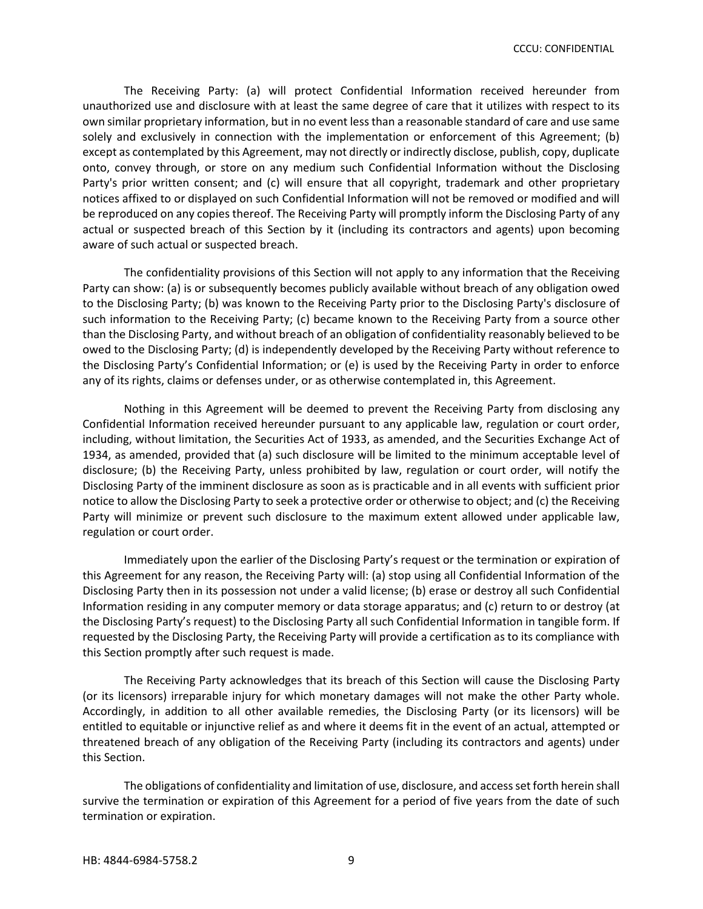The Receiving Party: (a) will protect Confidential Information received hereunder from unauthorized use and disclosure with at least the same degree of care that it utilizes with respect to its own similar proprietary information, but in no event lessthan a reasonable standard of care and use same solely and exclusively in connection with the implementation or enforcement of this Agreement; (b) except as contemplated by this Agreement, may not directly or indirectly disclose, publish, copy, duplicate onto, convey through, or store on any medium such Confidential Information without the Disclosing Party's prior written consent; and (c) will ensure that all copyright, trademark and other proprietary notices affixed to or displayed on such Confidential Information will not be removed or modified and will be reproduced on any copies thereof. The Receiving Party will promptly inform the Disclosing Party of any actual or suspected breach of this Section by it (including its contractors and agents) upon becoming aware of such actual or suspected breach.

The confidentiality provisions of this Section will not apply to any information that the Receiving Party can show: (a) is or subsequently becomes publicly available without breach of any obligation owed to the Disclosing Party; (b) was known to the Receiving Party prior to the Disclosing Party's disclosure of such information to the Receiving Party; (c) became known to the Receiving Party from a source other than the Disclosing Party, and without breach of an obligation of confidentiality reasonably believed to be owed to the Disclosing Party; (d) is independently developed by the Receiving Party without reference to the Disclosing Party's Confidential Information; or (e) is used by the Receiving Party in order to enforce any of its rights, claims or defenses under, or as otherwise contemplated in, this Agreement.

Nothing in this Agreement will be deemed to prevent the Receiving Party from disclosing any Confidential Information received hereunder pursuant to any applicable law, regulation or court order, including, without limitation, the Securities Act of 1933, as amended, and the Securities Exchange Act of 1934, as amended, provided that (a) such disclosure will be limited to the minimum acceptable level of disclosure; (b) the Receiving Party, unless prohibited by law, regulation or court order, will notify the Disclosing Party of the imminent disclosure as soon as is practicable and in all events with sufficient prior notice to allow the Disclosing Party to seek a protective order or otherwise to object; and (c) the Receiving Party will minimize or prevent such disclosure to the maximum extent allowed under applicable law, regulation or court order.

Immediately upon the earlier of the Disclosing Party's request or the termination or expiration of this Agreement for any reason, the Receiving Party will: (a) stop using all Confidential Information of the Disclosing Party then in its possession not under a valid license; (b) erase or destroy all such Confidential Information residing in any computer memory or data storage apparatus; and (c) return to or destroy (at the Disclosing Party's request) to the Disclosing Party all such Confidential Information in tangible form. If requested by the Disclosing Party, the Receiving Party will provide a certification as to its compliance with this Section promptly after such request is made.

The Receiving Party acknowledges that its breach of this Section will cause the Disclosing Party (or its licensors) irreparable injury for which monetary damages will not make the other Party whole. Accordingly, in addition to all other available remedies, the Disclosing Party (or its licensors) will be entitled to equitable or injunctive relief as and where it deems fit in the event of an actual, attempted or threatened breach of any obligation of the Receiving Party (including its contractors and agents) under this Section.

The obligations of confidentiality and limitation of use, disclosure, and accessset forth herein shall survive the termination or expiration of this Agreement for a period of five years from the date of such termination or expiration.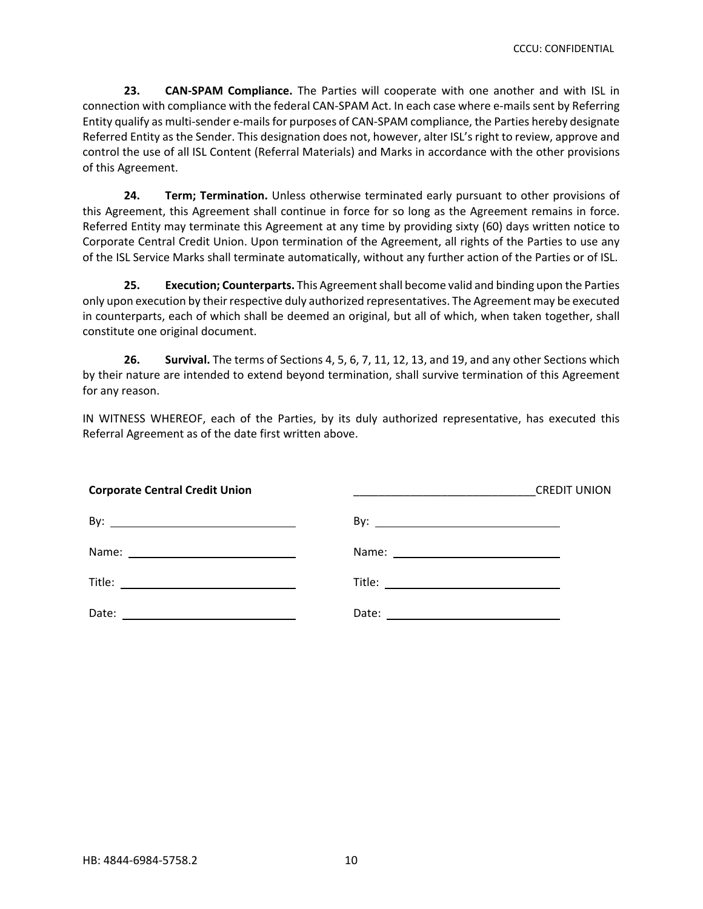**23. CAN‐SPAM Compliance.** The Parties will cooperate with one another and with ISL in connection with compliance with the federal CAN-SPAM Act. In each case where e-mails sent by Referring Entity qualify as multi-sender e-mails for purposes of CAN-SPAM compliance, the Parties hereby designate Referred Entity as the Sender. This designation does not, however, alter ISL's right to review, approve and control the use of all ISL Content (Referral Materials) and Marks in accordance with the other provisions of this Agreement.

**24. Term; Termination.** Unless otherwise terminated early pursuant to other provisions of this Agreement, this Agreement shall continue in force for so long as the Agreement remains in force. Referred Entity may terminate this Agreement at any time by providing sixty (60) days written notice to Corporate Central Credit Union. Upon termination of the Agreement, all rights of the Parties to use any of the ISL Service Marks shall terminate automatically, without any further action of the Parties or of ISL.

**25. Execution; Counterparts.** This Agreementshall become valid and binding upon the Parties only upon execution by their respective duly authorized representatives. The Agreement may be executed in counterparts, each of which shall be deemed an original, but all of which, when taken together, shall constitute one original document.

**26. Survival.** The terms of Sections 4, 5, 6, 7, 11, 12, 13, and 19, and any other Sections which by their nature are intended to extend beyond termination, shall survive termination of this Agreement for any reason.

IN WITNESS WHEREOF, each of the Parties, by its duly authorized representative, has executed this Referral Agreement as of the date first written above.

| <b>Corporate Central Credit Union</b> | <b>CREDIT UNION</b><br><u> 1999 - Johann Harry Harry Harry Harry Harry Harry Harry Harry Harry Harry Harry Harry Harry Harry Harry Harry Harry Harry Harry Harry Harry Harry Harry Harry Harry Harry Harry Harry Harry Harry Harry Harry Harry Harry Ha</u> |  |
|---------------------------------------|-------------------------------------------------------------------------------------------------------------------------------------------------------------------------------------------------------------------------------------------------------------|--|
|                                       |                                                                                                                                                                                                                                                             |  |
|                                       |                                                                                                                                                                                                                                                             |  |
|                                       |                                                                                                                                                                                                                                                             |  |
|                                       | Date: ____________________________                                                                                                                                                                                                                          |  |